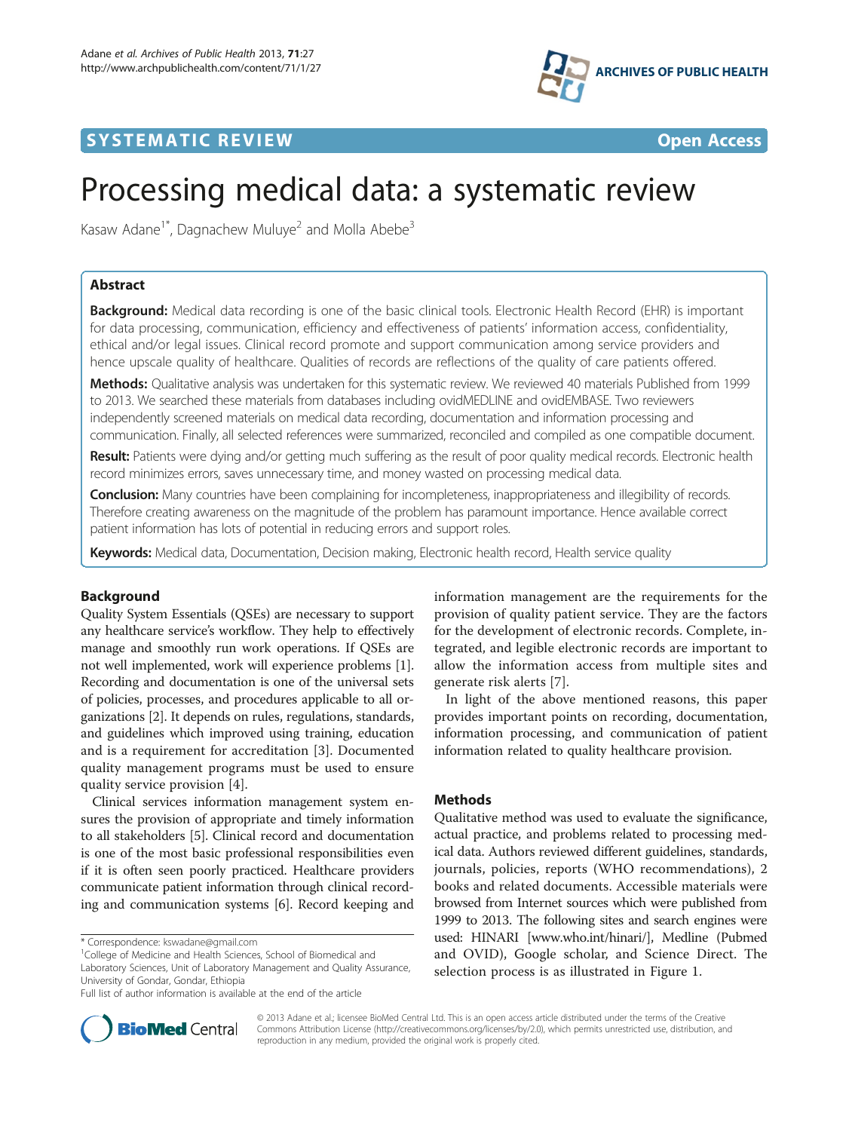

## **SYSTEMATIC REVIEW CONTROL** CONTROL CONTROL CONTROL CONTROL CONTROL CONTROL CONTROL CONTROL CONTROL CONTROL CONTROL CONTROL CONTROL CONTROL CONTROL CONTROL CONTROL CONTROL CONTROL CONTROL CONTROL CONTROL CONTROL CONTROL CO

# Processing medical data: a systematic review

Kasaw Adane<sup>1\*</sup>, Dagnachew Muluye<sup>2</sup> and Molla Abebe<sup>3</sup>

## Abstract

Background: Medical data recording is one of the basic clinical tools. Electronic Health Record (EHR) is important for data processing, communication, efficiency and effectiveness of patients' information access, confidentiality, ethical and/or legal issues. Clinical record promote and support communication among service providers and hence upscale quality of healthcare. Qualities of records are reflections of the quality of care patients offered.

Methods: Qualitative analysis was undertaken for this systematic review. We reviewed 40 materials Published from 1999 to 2013. We searched these materials from databases including ovidMEDLINE and ovidEMBASE. Two reviewers independently screened materials on medical data recording, documentation and information processing and communication. Finally, all selected references were summarized, reconciled and compiled as one compatible document.

Result: Patients were dying and/or getting much suffering as the result of poor quality medical records. Electronic health record minimizes errors, saves unnecessary time, and money wasted on processing medical data.

**Conclusion:** Many countries have been complaining for incompleteness, inappropriateness and illegibility of records. Therefore creating awareness on the magnitude of the problem has paramount importance. Hence available correct patient information has lots of potential in reducing errors and support roles.

Keywords: Medical data, Documentation, Decision making, Electronic health record, Health service quality

## Background

Quality System Essentials (QSEs) are necessary to support any healthcare service's workflow. They help to effectively manage and smoothly run work operations. If QSEs are not well implemented, work will experience problems [[1](#page-4-0)]. Recording and documentation is one of the universal sets of policies, processes, and procedures applicable to all organizations [\[2](#page-4-0)]. It depends on rules, regulations, standards, and guidelines which improved using training, education and is a requirement for accreditation [\[3](#page-4-0)]. Documented quality management programs must be used to ensure quality service provision [[4\]](#page-4-0).

Clinical services information management system ensures the provision of appropriate and timely information to all stakeholders [\[5](#page-4-0)]. Clinical record and documentation is one of the most basic professional responsibilities even if it is often seen poorly practiced. Healthcare providers communicate patient information through clinical recording and communication systems [\[6](#page-4-0)]. Record keeping and

\* Correspondence: [kswadane@gmail.com](mailto:kswadane@gmail.com) <sup>1</sup>

information management are the requirements for the provision of quality patient service. They are the factors for the development of electronic records. Complete, integrated, and legible electronic records are important to allow the information access from multiple sites and generate risk alerts [[7](#page-5-0)].

In light of the above mentioned reasons, this paper provides important points on recording, documentation, information processing, and communication of patient information related to quality healthcare provision.

## **Methods**

Qualitative method was used to evaluate the significance, actual practice, and problems related to processing medical data. Authors reviewed different guidelines, standards, journals, policies, reports (WHO recommendations), 2 books and related documents. Accessible materials were browsed from Internet sources which were published from 1999 to 2013. The following sites and search engines were used: HINARI [\[www.who.int/hinari/\]](http://www.who.int/hinari/), Medline (Pubmed and OVID), Google scholar, and Science Direct. The selection process is as illustrated in Figure [1.](#page-1-0)



© 2013 Adane et al.; licensee BioMed Central Ltd. This is an open access article distributed under the terms of the Creative Commons Attribution License [\(http://creativecommons.org/licenses/by/2.0\)](http://creativecommons.org/licenses/by/2.0), which permits unrestricted use, distribution, and reproduction in any medium, provided the original work is properly cited.

<sup>&</sup>lt;sup>1</sup>College of Medicine and Health Sciences, School of Biomedical and Laboratory Sciences, Unit of Laboratory Management and Quality Assurance, University of Gondar, Gondar, Ethiopia

Full list of author information is available at the end of the article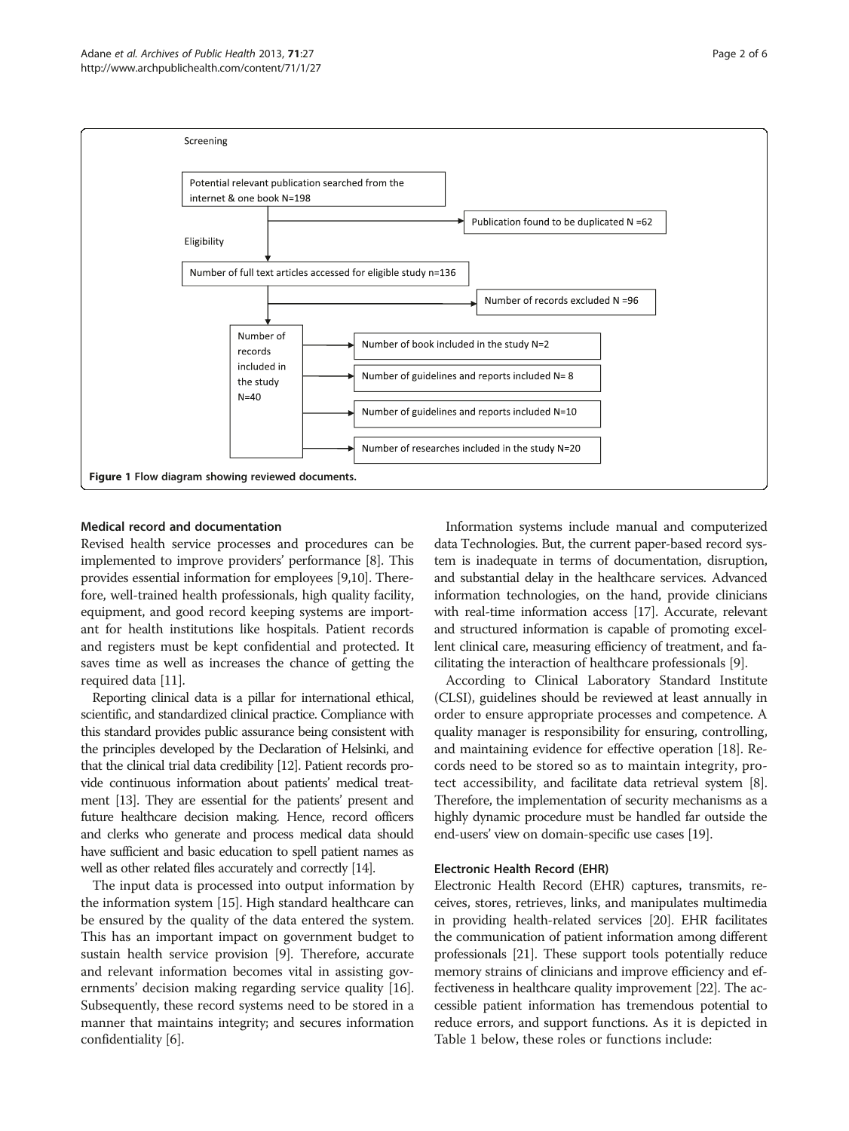<span id="page-1-0"></span>

## Medical record and documentation

Revised health service processes and procedures can be implemented to improve providers' performance [\[8](#page-5-0)]. This provides essential information for employees [\[9,10\]](#page-5-0). Therefore, well-trained health professionals, high quality facility, equipment, and good record keeping systems are important for health institutions like hospitals. Patient records and registers must be kept confidential and protected. It saves time as well as increases the chance of getting the required data [\[11\]](#page-5-0).

Reporting clinical data is a pillar for international ethical, scientific, and standardized clinical practice. Compliance with this standard provides public assurance being consistent with the principles developed by the Declaration of Helsinki, and that the clinical trial data credibility [\[12](#page-5-0)]. Patient records provide continuous information about patients' medical treatment [[13\]](#page-5-0). They are essential for the patients' present and future healthcare decision making. Hence, record officers and clerks who generate and process medical data should have sufficient and basic education to spell patient names as well as other related files accurately and correctly [[14\]](#page-5-0).

The input data is processed into output information by the information system [\[15\]](#page-5-0). High standard healthcare can be ensured by the quality of the data entered the system. This has an important impact on government budget to sustain health service provision [[9\]](#page-5-0). Therefore, accurate and relevant information becomes vital in assisting governments' decision making regarding service quality [[16](#page-5-0)]. Subsequently, these record systems need to be stored in a manner that maintains integrity; and secures information confidentiality [\[6](#page-4-0)].

Information systems include manual and computerized data Technologies. But, the current paper-based record system is inadequate in terms of documentation, disruption, and substantial delay in the healthcare services. Advanced information technologies, on the hand, provide clinicians with real-time information access [\[17\]](#page-5-0). Accurate, relevant and structured information is capable of promoting excellent clinical care, measuring efficiency of treatment, and facilitating the interaction of healthcare professionals [[9\]](#page-5-0).

According to Clinical Laboratory Standard Institute (CLSI), guidelines should be reviewed at least annually in order to ensure appropriate processes and competence. A quality manager is responsibility for ensuring, controlling, and maintaining evidence for effective operation [[18](#page-5-0)]. Records need to be stored so as to maintain integrity, protect accessibility, and facilitate data retrieval system [[8](#page-5-0)]. Therefore, the implementation of security mechanisms as a highly dynamic procedure must be handled far outside the end-users' view on domain-specific use cases [[19](#page-5-0)].

### Electronic Health Record (EHR)

Electronic Health Record (EHR) captures, transmits, receives, stores, retrieves, links, and manipulates multimedia in providing health-related services [\[20\]](#page-5-0). EHR facilitates the communication of patient information among different professionals [[21](#page-5-0)]. These support tools potentially reduce memory strains of clinicians and improve efficiency and effectiveness in healthcare quality improvement [\[22\]](#page-5-0). The accessible patient information has tremendous potential to reduce errors, and support functions. As it is depicted in Table [1](#page-2-0) below, these roles or functions include: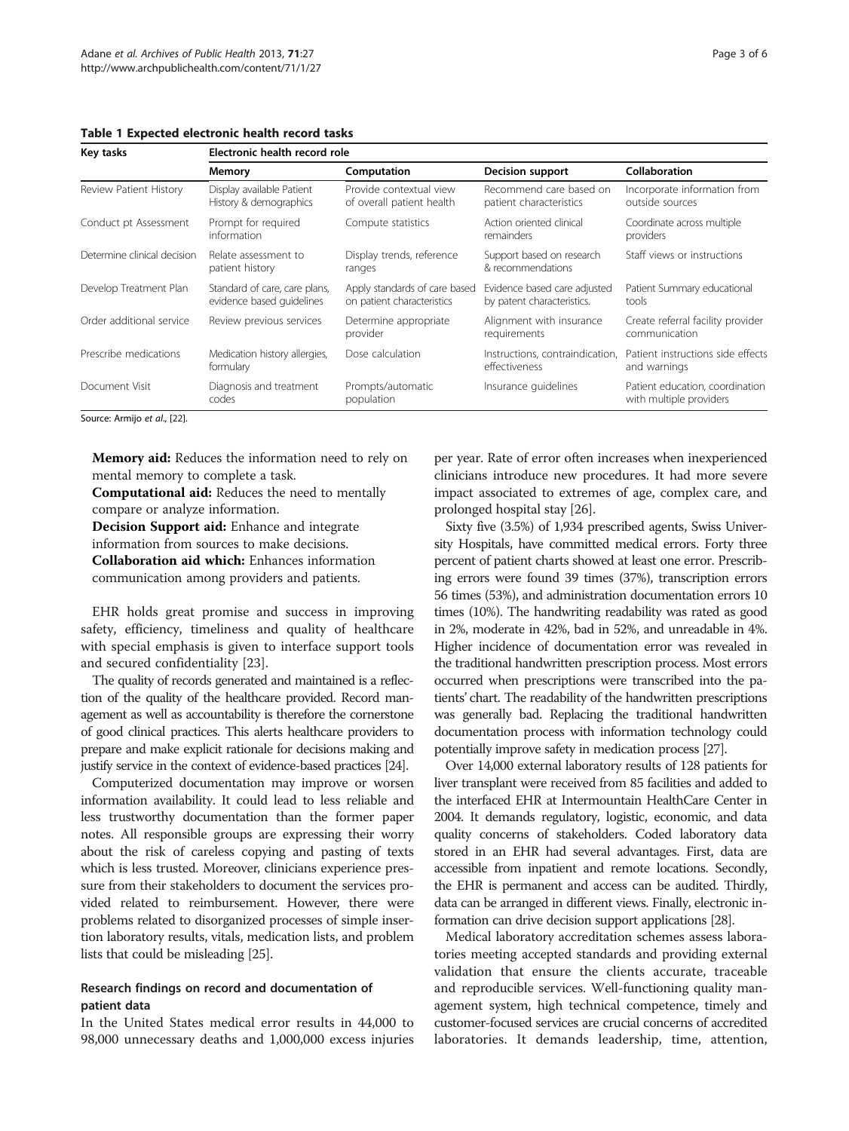<span id="page-2-0"></span>Table 1 Expected electronic health record tasks

| Key tasks                   | Electronic health record role                              |                                                             |                                                            |                                                            |
|-----------------------------|------------------------------------------------------------|-------------------------------------------------------------|------------------------------------------------------------|------------------------------------------------------------|
|                             | Memory                                                     | Computation                                                 | <b>Decision support</b>                                    | <b>Collaboration</b>                                       |
| Review Patient History      | Display available Patient<br>History & demographics        | Provide contextual view<br>of overall patient health        | Recommend care based on<br>patient characteristics         | Incorporate information from<br>outside sources            |
| Conduct pt Assessment       | Prompt for required<br>information                         | Compute statistics                                          | Action oriented clinical<br>remainders                     | Coordinate across multiple<br>providers                    |
| Determine clinical decision | Relate assessment to<br>patient history                    | Display trends, reference<br>ranges                         | Support based on research<br>& recommendations             | Staff views or instructions                                |
| Develop Treatment Plan      | Standard of care, care plans,<br>evidence based quidelines | Apply standards of care based<br>on patient characteristics | Evidence based care adjusted<br>by patent characteristics. | Patient Summary educational<br>tools                       |
| Order additional service    | Review previous services                                   | Determine appropriate<br>provider                           | Alignment with insurance<br>requirements                   | Create referral facility provider<br>communication         |
| Prescribe medications       | Medication history allergies,<br>formulary                 | Dose calculation                                            | Instructions, contraindication,<br>effectiveness           | Patient instructions side effects<br>and warnings          |
| Document Visit              | Diagnosis and treatment<br>codes                           | Prompts/automatic<br>population                             | Insurance guidelines                                       | Patient education, coordination<br>with multiple providers |

Source: Armijo et al., [\[22](#page-5-0)].

Memory aid: Reduces the information need to rely on mental memory to complete a task.

Computational aid: Reduces the need to mentally compare or analyze information.

Decision Support aid: Enhance and integrate

information from sources to make decisions.

Collaboration aid which: Enhances information communication among providers and patients.

EHR holds great promise and success in improving safety, efficiency, timeliness and quality of healthcare with special emphasis is given to interface support tools and secured confidentiality [\[23](#page-5-0)].

The quality of records generated and maintained is a reflection of the quality of the healthcare provided. Record management as well as accountability is therefore the cornerstone of good clinical practices. This alerts healthcare providers to prepare and make explicit rationale for decisions making and justify service in the context of evidence-based practices [\[24\]](#page-5-0).

Computerized documentation may improve or worsen information availability. It could lead to less reliable and less trustworthy documentation than the former paper notes. All responsible groups are expressing their worry about the risk of careless copying and pasting of texts which is less trusted. Moreover, clinicians experience pressure from their stakeholders to document the services provided related to reimbursement. However, there were problems related to disorganized processes of simple insertion laboratory results, vitals, medication lists, and problem lists that could be misleading [\[25](#page-5-0)].

## Research findings on record and documentation of patient data

In the United States medical error results in 44,000 to 98,000 unnecessary deaths and 1,000,000 excess injuries

per year. Rate of error often increases when inexperienced clinicians introduce new procedures. It had more severe impact associated to extremes of age, complex care, and prolonged hospital stay [\[26\]](#page-5-0).

Sixty five (3.5%) of 1,934 prescribed agents, Swiss University Hospitals, have committed medical errors. Forty three percent of patient charts showed at least one error. Prescribing errors were found 39 times (37%), transcription errors 56 times (53%), and administration documentation errors 10 times (10%). The handwriting readability was rated as good in 2%, moderate in 42%, bad in 52%, and unreadable in 4%. Higher incidence of documentation error was revealed in the traditional handwritten prescription process. Most errors occurred when prescriptions were transcribed into the patients' chart. The readability of the handwritten prescriptions was generally bad. Replacing the traditional handwritten documentation process with information technology could potentially improve safety in medication process [\[27](#page-5-0)].

Over 14,000 external laboratory results of 128 patients for liver transplant were received from 85 facilities and added to the interfaced EHR at Intermountain HealthCare Center in 2004. It demands regulatory, logistic, economic, and data quality concerns of stakeholders. Coded laboratory data stored in an EHR had several advantages. First, data are accessible from inpatient and remote locations. Secondly, the EHR is permanent and access can be audited. Thirdly, data can be arranged in different views. Finally, electronic information can drive decision support applications [\[28\]](#page-5-0).

Medical laboratory accreditation schemes assess laboratories meeting accepted standards and providing external validation that ensure the clients accurate, traceable and reproducible services. Well-functioning quality management system, high technical competence, timely and customer-focused services are crucial concerns of accredited laboratories. It demands leadership, time, attention,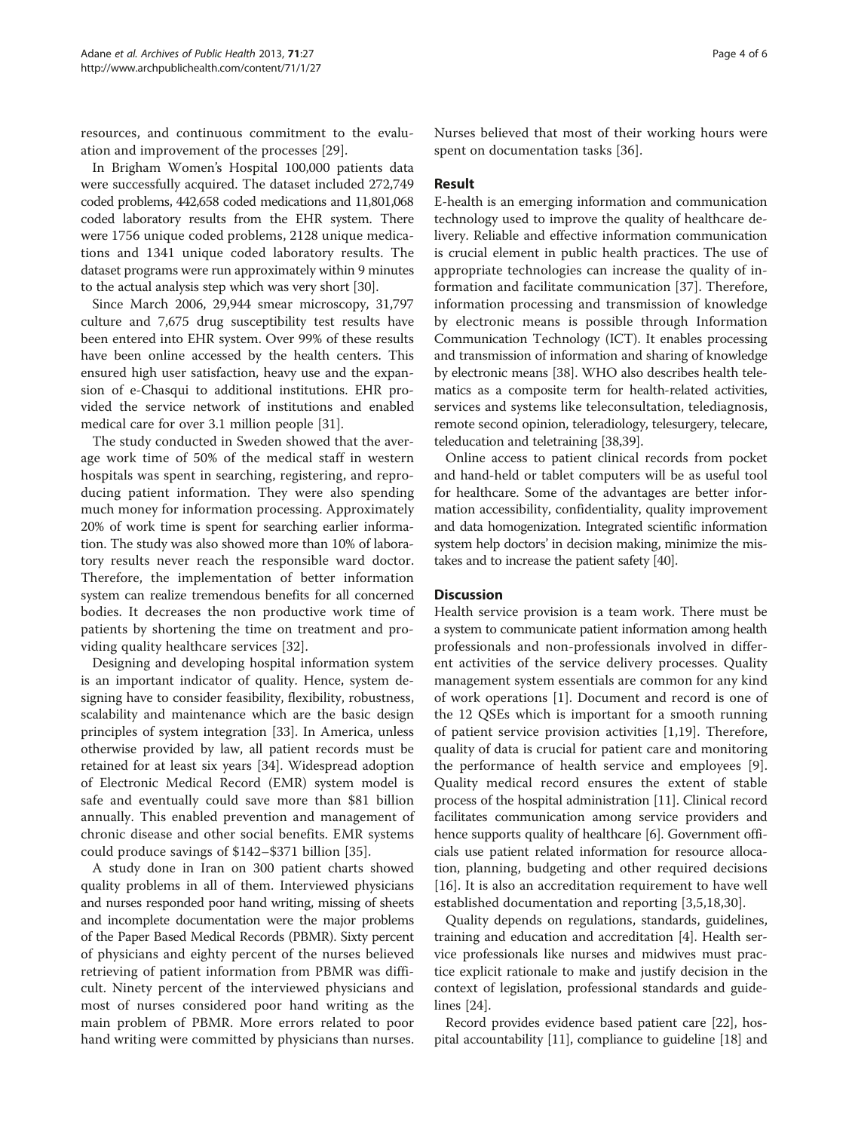resources, and continuous commitment to the evaluation and improvement of the processes [[29\]](#page-5-0).

In Brigham Women's Hospital 100,000 patients data were successfully acquired. The dataset included 272,749 coded problems, 442,658 coded medications and 11,801,068 coded laboratory results from the EHR system. There were 1756 unique coded problems, 2128 unique medications and 1341 unique coded laboratory results. The dataset programs were run approximately within 9 minutes to the actual analysis step which was very short [[30\]](#page-5-0).

Since March 2006, 29,944 smear microscopy, 31,797 culture and 7,675 drug susceptibility test results have been entered into EHR system. Over 99% of these results have been online accessed by the health centers. This ensured high user satisfaction, heavy use and the expansion of e-Chasqui to additional institutions. EHR provided the service network of institutions and enabled medical care for over 3.1 million people [\[31\]](#page-5-0).

The study conducted in Sweden showed that the average work time of 50% of the medical staff in western hospitals was spent in searching, registering, and reproducing patient information. They were also spending much money for information processing. Approximately 20% of work time is spent for searching earlier information. The study was also showed more than 10% of laboratory results never reach the responsible ward doctor. Therefore, the implementation of better information system can realize tremendous benefits for all concerned bodies. It decreases the non productive work time of patients by shortening the time on treatment and providing quality healthcare services [[32\]](#page-5-0).

Designing and developing hospital information system is an important indicator of quality. Hence, system designing have to consider feasibility, flexibility, robustness, scalability and maintenance which are the basic design principles of system integration [[33\]](#page-5-0). In America, unless otherwise provided by law, all patient records must be retained for at least six years [[34](#page-5-0)]. Widespread adoption of Electronic Medical Record (EMR) system model is safe and eventually could save more than \$81 billion annually. This enabled prevention and management of chronic disease and other social benefits. EMR systems could produce savings of \$142–\$371 billion [[35\]](#page-5-0).

A study done in Iran on 300 patient charts showed quality problems in all of them. Interviewed physicians and nurses responded poor hand writing, missing of sheets and incomplete documentation were the major problems of the Paper Based Medical Records (PBMR). Sixty percent of physicians and eighty percent of the nurses believed retrieving of patient information from PBMR was difficult. Ninety percent of the interviewed physicians and most of nurses considered poor hand writing as the main problem of PBMR. More errors related to poor hand writing were committed by physicians than nurses. Nurses believed that most of their working hours were spent on documentation tasks [\[36](#page-5-0)].

## Result

E-health is an emerging information and communication technology used to improve the quality of healthcare delivery. Reliable and effective information communication is crucial element in public health practices. The use of appropriate technologies can increase the quality of information and facilitate communication [[37\]](#page-5-0). Therefore, information processing and transmission of knowledge by electronic means is possible through Information Communication Technology (ICT). It enables processing and transmission of information and sharing of knowledge by electronic means [[38](#page-5-0)]. WHO also describes health telematics as a composite term for health-related activities, services and systems like teleconsultation, telediagnosis, remote second opinion, teleradiology, telesurgery, telecare, teleducation and teletraining [[38](#page-5-0),[39](#page-5-0)].

Online access to patient clinical records from pocket and hand-held or tablet computers will be as useful tool for healthcare. Some of the advantages are better information accessibility, confidentiality, quality improvement and data homogenization. Integrated scientific information system help doctors' in decision making, minimize the mistakes and to increase the patient safety [\[40\]](#page-5-0).

### **Discussion**

Health service provision is a team work. There must be a system to communicate patient information among health professionals and non-professionals involved in different activities of the service delivery processes. Quality management system essentials are common for any kind of work operations [\[1](#page-4-0)]. Document and record is one of the 12 QSEs which is important for a smooth running of patient service provision activities [[1,](#page-4-0)[19\]](#page-5-0). Therefore, quality of data is crucial for patient care and monitoring the performance of health service and employees [\[9](#page-5-0)]. Quality medical record ensures the extent of stable process of the hospital administration [[11](#page-5-0)]. Clinical record facilitates communication among service providers and hence supports quality of healthcare [[6\]](#page-4-0). Government officials use patient related information for resource allocation, planning, budgeting and other required decisions [[16](#page-5-0)]. It is also an accreditation requirement to have well established documentation and reporting [\[3](#page-4-0),[5,](#page-4-0)[18,30](#page-5-0)].

Quality depends on regulations, standards, guidelines, training and education and accreditation [\[4](#page-4-0)]. Health service professionals like nurses and midwives must practice explicit rationale to make and justify decision in the context of legislation, professional standards and guidelines [[24](#page-5-0)].

Record provides evidence based patient care [\[22\]](#page-5-0), hospital accountability [\[11\]](#page-5-0), compliance to guideline [[18](#page-5-0)] and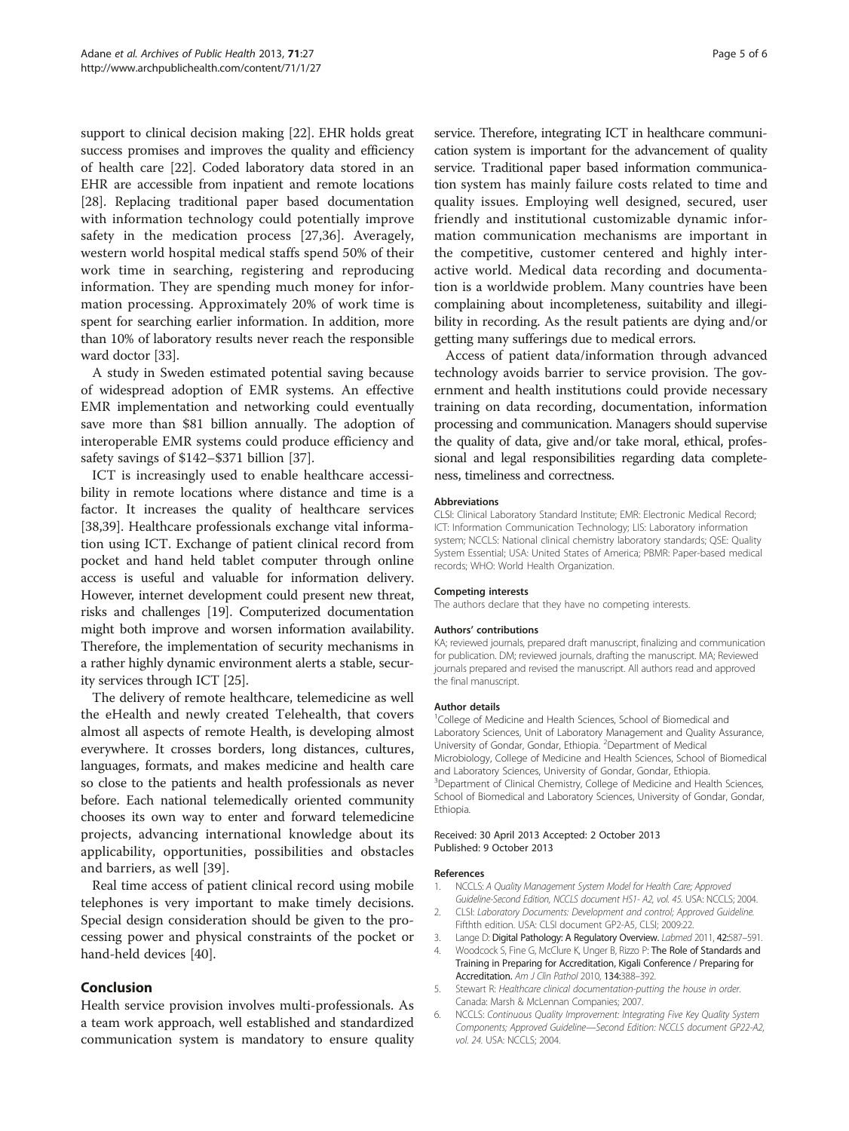<span id="page-4-0"></span>support to clinical decision making [[22](#page-5-0)]. EHR holds great success promises and improves the quality and efficiency of health care [[22](#page-5-0)]. Coded laboratory data stored in an EHR are accessible from inpatient and remote locations [[28](#page-5-0)]. Replacing traditional paper based documentation with information technology could potentially improve safety in the medication process [[27,36](#page-5-0)]. Averagely, western world hospital medical staffs spend 50% of their work time in searching, registering and reproducing information. They are spending much money for information processing. Approximately 20% of work time is spent for searching earlier information. In addition, more than 10% of laboratory results never reach the responsible ward doctor [\[33\]](#page-5-0).

A study in Sweden estimated potential saving because of widespread adoption of EMR systems. An effective EMR implementation and networking could eventually save more than \$81 billion annually. The adoption of interoperable EMR systems could produce efficiency and safety savings of \$142–\$371 billion [[37](#page-5-0)].

ICT is increasingly used to enable healthcare accessibility in remote locations where distance and time is a factor. It increases the quality of healthcare services [[38,39\]](#page-5-0). Healthcare professionals exchange vital information using ICT. Exchange of patient clinical record from pocket and hand held tablet computer through online access is useful and valuable for information delivery. However, internet development could present new threat, risks and challenges [\[19\]](#page-5-0). Computerized documentation might both improve and worsen information availability. Therefore, the implementation of security mechanisms in a rather highly dynamic environment alerts a stable, security services through ICT [[25](#page-5-0)].

The delivery of remote healthcare, telemedicine as well the eHealth and newly created Telehealth, that covers almost all aspects of remote Health, is developing almost everywhere. It crosses borders, long distances, cultures, languages, formats, and makes medicine and health care so close to the patients and health professionals as never before. Each national telemedically oriented community chooses its own way to enter and forward telemedicine projects, advancing international knowledge about its applicability, opportunities, possibilities and obstacles and barriers, as well [\[39](#page-5-0)].

Real time access of patient clinical record using mobile telephones is very important to make timely decisions. Special design consideration should be given to the processing power and physical constraints of the pocket or hand-held devices [[40](#page-5-0)].

## Conclusion

Health service provision involves multi-professionals. As a team work approach, well established and standardized communication system is mandatory to ensure quality service. Therefore, integrating ICT in healthcare communication system is important for the advancement of quality service. Traditional paper based information communication system has mainly failure costs related to time and quality issues. Employing well designed, secured, user friendly and institutional customizable dynamic information communication mechanisms are important in

the competitive, customer centered and highly interactive world. Medical data recording and documentation is a worldwide problem. Many countries have been complaining about incompleteness, suitability and illegibility in recording. As the result patients are dying and/or getting many sufferings due to medical errors.

Access of patient data/information through advanced technology avoids barrier to service provision. The government and health institutions could provide necessary training on data recording, documentation, information processing and communication. Managers should supervise the quality of data, give and/or take moral, ethical, professional and legal responsibilities regarding data completeness, timeliness and correctness.

#### Abbreviations

CLSI: Clinical Laboratory Standard Institute; EMR: Electronic Medical Record; ICT: Information Communication Technology; LIS: Laboratory information system; NCCLS: National clinical chemistry laboratory standards; QSE: Quality System Essential; USA: United States of America; PBMR: Paper-based medical records; WHO: World Health Organization.

#### Competing interests

The authors declare that they have no competing interests.

#### Authors' contributions

KA; reviewed journals, prepared draft manuscript, finalizing and communication for publication. DM; reviewed journals, drafting the manuscript. MA; Reviewed journals prepared and revised the manuscript. All authors read and approved the final manuscript.

#### Author details

<sup>1</sup>College of Medicine and Health Sciences, School of Biomedical and Laboratory Sciences, Unit of Laboratory Management and Quality Assurance, University of Gondar, Gondar, Ethiopia. <sup>2</sup> Department of Medical Microbiology, College of Medicine and Health Sciences, School of Biomedical and Laboratory Sciences, University of Gondar, Gondar, Ethiopia. <sup>3</sup>Department of Clinical Chemistry, College of Medicine and Health Sciences School of Biomedical and Laboratory Sciences, University of Gondar, Gondar, Ethiopia.

#### Received: 30 April 2013 Accepted: 2 October 2013 Published: 9 October 2013

#### References

- 1. NCCLS: A Quality Management System Model for Health Care; Approved Guideline-Second Edition, NCCLS document HS1- A2, vol. 45. USA: NCCLS; 2004. 2. CLSI: Laboratory Documents: Development and control; Approved Guideline.
- Fifthth edition. USA: CLSI document GP2-A5, CLSI; 2009:22.
- 3. Lange D: Digital Pathology: A Regulatory Overview. Labmed 2011, 42:587-591.
- 4. Woodcock S, Fine G, McClure K, Unger B, Rizzo P: The Role of Standards and Training in Preparing for Accreditation, Kigali Conference / Preparing for Accreditation. Am J Clin Pathol 2010, 134:388–392.
- 5. Stewart R: Healthcare clinical documentation-putting the house in order. Canada: Marsh & McLennan Companies; 2007.
- 6. NCCLS: Continuous Quality Improvement: Integrating Five Key Quality System Components; Approved Guideline—Second Edition: NCCLS document GP22-A2, vol. 24. USA: NCCLS; 2004.